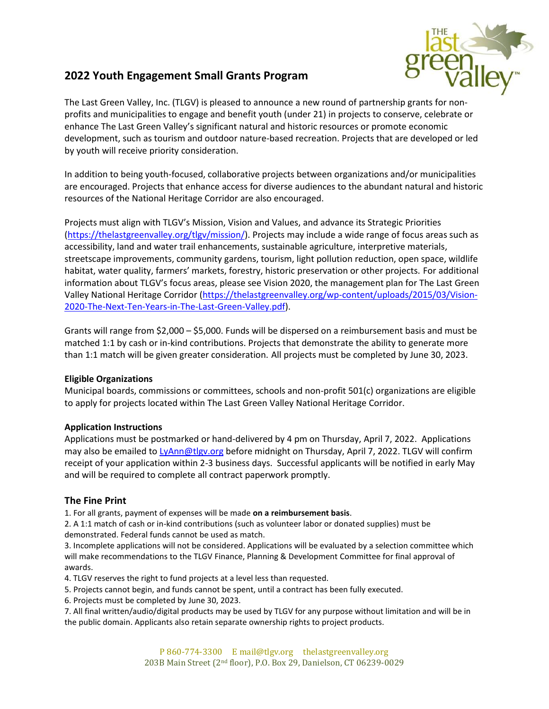# **2022 Youth Engagement Small Grants Program**



The Last Green Valley, Inc. (TLGV) is pleased to announce a new round of partnership grants for nonprofits and municipalities to engage and benefit youth (under 21) in projects to conserve, celebrate or enhance The Last Green Valley's significant natural and historic resources or promote economic development, such as tourism and outdoor nature-based recreation. Projects that are developed or led by youth will receive priority consideration.

In addition to being youth-focused, collaborative projects between organizations and/or municipalities are encouraged. Projects that enhance access for diverse audiences to the abundant natural and historic resources of the National Heritage Corridor are also encouraged.

Projects must align with TLGV's Mission, Vision and Values, and advance its Strategic Priorities [\(https://thelastgreenvalley.org/tlgv/mission/\)](https://thelastgreenvalley.org/tlgv/mission/). Projects may include a wide range of focus areas such as accessibility, land and water trail enhancements, sustainable agriculture, interpretive materials, streetscape improvements, community gardens, tourism, light pollution reduction, open space, wildlife habitat, water quality, farmers' markets, forestry, historic preservation or other projects. For additional information about TLGV's focus areas, please see Vision 2020, the management plan for The Last Green Valley National Heritage Corridor [\(https://thelastgreenvalley.org/wp-content/uploads/2015/03/Vision-](https://thelastgreenvalley.org/wp-content/uploads/2015/03/Vision-2020-The-Next-Ten-Years-in-The-Last-Green-Valley.pdf)[2020-The-Next-Ten-Years-in-The-Last-Green-Valley.pdf\)](https://thelastgreenvalley.org/wp-content/uploads/2015/03/Vision-2020-The-Next-Ten-Years-in-The-Last-Green-Valley.pdf).

Grants will range from \$2,000 – \$5,000. Funds will be dispersed on a reimbursement basis and must be matched 1:1 by cash or in-kind contributions. Projects that demonstrate the ability to generate more than 1:1 match will be given greater consideration. All projects must be completed by June 30, 2023.

# **Eligible Organizations**

Municipal boards, commissions or committees, schools and non-profit 501(c) organizations are eligible to apply for projects located within The Last Green Valley National Heritage Corridor.

# **Application Instructions**

Applications must be postmarked or hand-delivered by 4 pm on Thursday, April 7, 2022. Applications may also be emailed to [LyAnn@tlgv.org](mailto:LyAnn@tlgv.org) before midnight on Thursday, April 7, 2022. TLGV will confirm receipt of your application within 2-3 business days. Successful applicants will be notified in early May and will be required to complete all contract paperwork promptly.

# **The Fine Print**

1. For all grants, payment of expenses will be made **on a reimbursement basis**.

2. A 1:1 match of cash or in-kind contributions (such as volunteer labor or donated supplies) must be demonstrated. Federal funds cannot be used as match.

3. Incomplete applications will not be considered. Applications will be evaluated by a selection committee which will make recommendations to the TLGV Finance, Planning & Development Committee for final approval of awards.

4. TLGV reserves the right to fund projects at a level less than requested.

5. Projects cannot begin, and funds cannot be spent, until a contract has been fully executed.

6. Projects must be completed by June 30, 2023.

7. All final written/audio/digital products may be used by TLGV for any purpose without limitation and will be in the public domain. Applicants also retain separate ownership rights to project products.